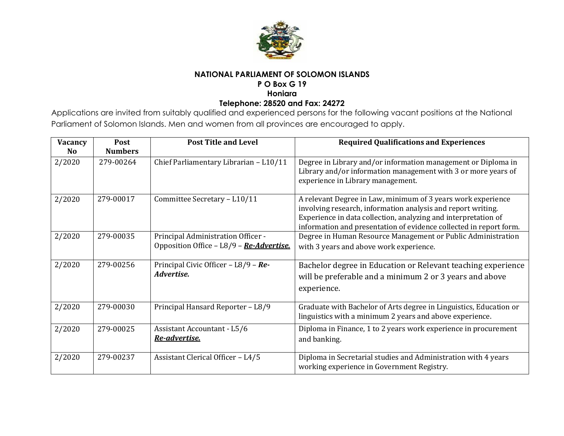

# **NATIONAL PARLIAMENT OF SOLOMON ISLANDS**

# **P O Box G 19**

**Honiara**

#### **Telephone: 28520 and Fax: 24272**

Applications are invited from suitably qualified and experienced persons for the following vacant positions at the National Parliament of Solomon Islands. Men and women from all provinces are encouraged to apply.

| Vacancy<br><b>No</b> | Post<br><b>Numbers</b> | <b>Post Title and Level</b>                                                    | <b>Required Qualifications and Experiences</b>                                                                                                                                                                                                                       |
|----------------------|------------------------|--------------------------------------------------------------------------------|----------------------------------------------------------------------------------------------------------------------------------------------------------------------------------------------------------------------------------------------------------------------|
| 2/2020               | 279-00264              | Chief Parliamentary Librarian - L10/11                                         | Degree in Library and/or information management or Diploma in<br>Library and/or information management with 3 or more years of<br>experience in Library management.                                                                                                  |
| 2/2020               | 279-00017              | Committee Secretary - L10/11                                                   | A relevant Degree in Law, minimum of 3 years work experience<br>involving research, information analysis and report writing.<br>Experience in data collection, analyzing and interpretation of<br>information and presentation of evidence collected in report form. |
| 2/2020               | 279-00035              | Principal Administration Officer -<br>Opposition Office - L8/9 - Re-Advertise. | Degree in Human Resource Management or Public Administration<br>with 3 years and above work experience.                                                                                                                                                              |
| 2/2020               | 279-00256              | Principal Civic Officer - L8/9 - Re-<br>Advertise.                             | Bachelor degree in Education or Relevant teaching experience<br>will be preferable and a minimum 2 or 3 years and above<br>experience.                                                                                                                               |
| 2/2020               | 279-00030              | Principal Hansard Reporter - L8/9                                              | Graduate with Bachelor of Arts degree in Linguistics, Education or<br>linguistics with a minimum 2 years and above experience.                                                                                                                                       |
| 2/2020               | 279-00025              | Assistant Accountant - L5/6<br>Re-advertise.                                   | Diploma in Finance, 1 to 2 years work experience in procurement<br>and banking.                                                                                                                                                                                      |
| 2/2020               | 279-00237              | Assistant Clerical Officer - L4/5                                              | Diploma in Secretarial studies and Administration with 4 years<br>working experience in Government Registry.                                                                                                                                                         |